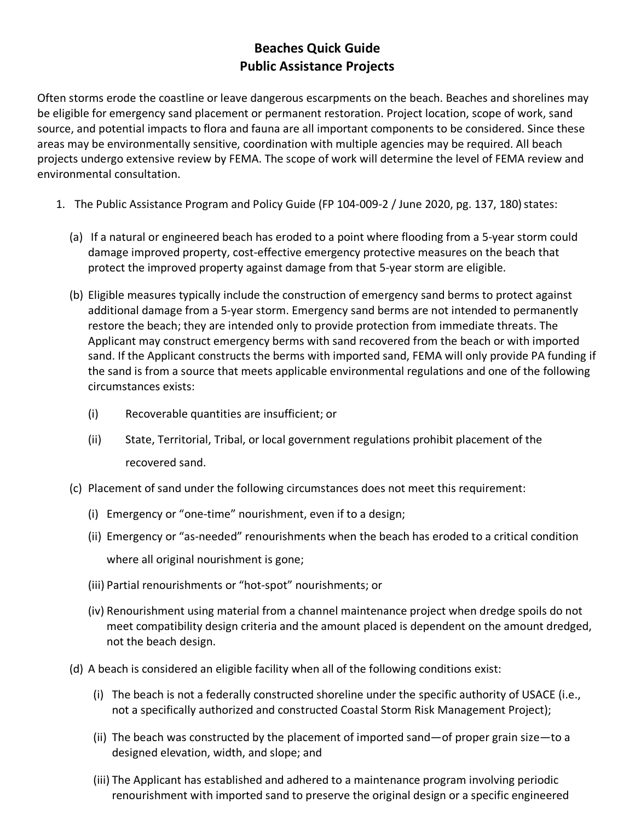Often storms erode the coastline or leave dangerous escarpments on the beach. Beaches and shorelines may be eligible for emergency sand placement or permanent restoration. Project location, scope of work, sand source, and potential impacts to flora and fauna are all important components to be considered. Since these areas may be environmentally sensitive, coordination with multiple agencies may be required. All beach projects undergo extensive review by FEMA. The scope of work will determine the level of FEMA review and environmental consultation.

- 1. The Public Assistance Program and Policy Guide (FP 104-009-2 / June 2020, pg. 137, 180) states:
	- (a) If a natural or engineered beach has eroded to a point where flooding from a 5-year storm could damage improved property, cost-effective emergency protective measures on the beach that protect the improved property against damage from that 5-year storm are eligible.
	- (b) Eligible measures typically include the construction of emergency sand berms to protect against additional damage from a 5-year storm. Emergency sand berms are not intended to permanently restore the beach; they are intended only to provide protection from immediate threats. The Applicant may construct emergency berms with sand recovered from the beach or with imported sand. If the Applicant constructs the berms with imported sand, FEMA will only provide PA funding if the sand is from a source that meets applicable environmental regulations and one of the following circumstances exists:
		- (i) Recoverable quantities are insufficient; or
		- (ii) State, Territorial, Tribal, or local government regulations prohibit placement of the recovered sand.
	- (c) Placement of sand under the following circumstances does not meet this requirement:
		- (i) Emergency or "one-time" nourishment, even if to a design;
		- (ii) Emergency or "as-needed" renourishments when the beach has eroded to a critical condition where all original nourishment is gone;
		- (iii) Partial renourishments or "hot-spot" nourishments; or
		- (iv) Renourishment using material from a channel maintenance project when dredge spoils do not meet compatibility design criteria and the amount placed is dependent on the amount dredged, not the beach design.
	- (d) A beach is considered an eligible facility when all of the following conditions exist:
		- (i) The beach is not a federally constructed shoreline under the specific authority of USACE (i.e., not a specifically authorized and constructed Coastal Storm Risk Management Project);
		- (ii) The beach was constructed by the placement of imported sand—of proper grain size—to a designed elevation, width, and slope; and
		- (iii) The Applicant has established and adhered to a maintenance program involving periodic renourishment with imported sand to preserve the original design or a specific engineered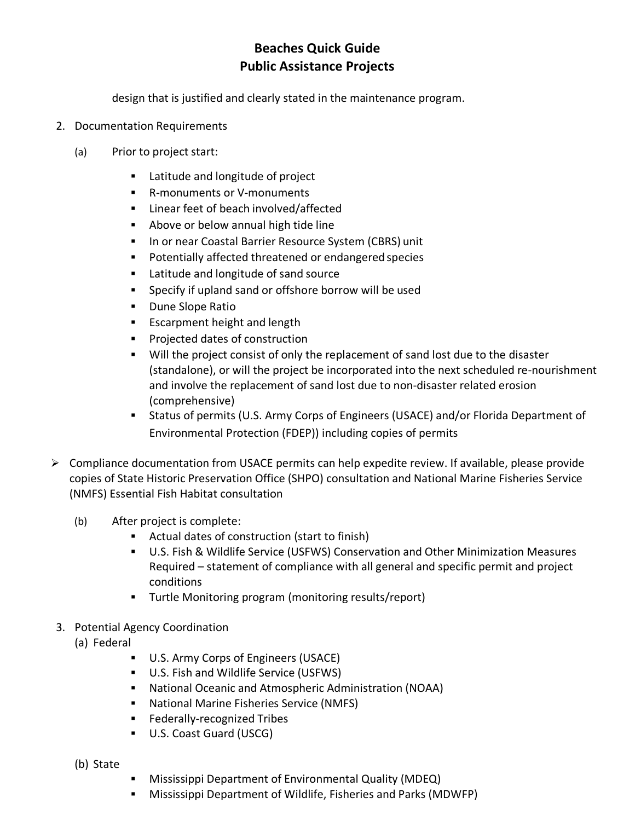design that is justified and clearly stated in the maintenance program.

- 2. Documentation Requirements
	- (a) Prior to project start:
		- **EXEC** Latitude and longitude of project
		- R-monuments or V-monuments
		- **EXEC** Linear feet of beach involved/affected
		- **Above or below annual high tide line**
		- **In or near Coastal Barrier Resource System (CBRS) unit**
		- Potentially affected threatened or endangered species
		- **EXEC** Latitude and longitude of sand source
		- Specify if upland sand or offshore borrow will be used
		- **Dune Slope Ratio**
		- **Exampment height and length**
		- **Projected dates of construction**
		- Will the project consist of only the replacement of sand lost due to the disaster (standalone), or will the project be incorporated into the next scheduled re-nourishment and involve the replacement of sand lost due to non-disaster related erosion (comprehensive)
		- Status of permits (U.S. Army Corps of Engineers (USACE) and/or Florida Department of Environmental Protection (FDEP)) including copies of permits
- $\triangleright$  Compliance documentation from USACE permits can help expedite review. If available, please provide copies of State Historic Preservation Office (SHPO) consultation and National Marine Fisheries Service (NMFS) Essential Fish Habitat consultation
	- (b) After project is complete:
		- Actual dates of construction (start to finish)
		- U.S. Fish & Wildlife Service (USFWS) Conservation and Other Minimization Measures Required – statement of compliance with all general and specific permit and project conditions
		- Turtle Monitoring program (monitoring results/report)
- 3. Potential Agency Coordination
	- (a) Federal
		- U.S. Army Corps of Engineers (USACE)
		- U.S. Fish and Wildlife Service (USFWS)
		- National Oceanic and Atmospheric Administration (NOAA)
		- **National Marine Fisheries Service (NMFS)**
		- **Federally-recognized Tribes**
		- U.S. Coast Guard (USCG)
	- (b) State
- Mississippi Department of Environmental Quality (MDEQ)
- Mississippi Department of Wildlife, Fisheries and Parks (MDWFP)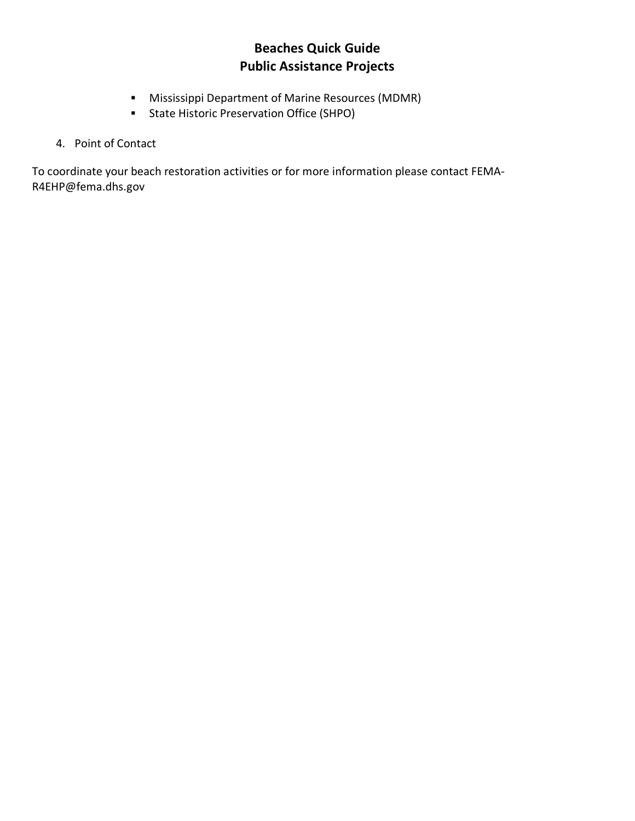- Mississippi Department of Marine Resources (MDMR)
- State Historic Preservation Office (SHPO)

#### 4. Point of Contact

To coordinate your beach restoration activities or for more information please contact FEMA-R4EHP@fema.dhs.gov